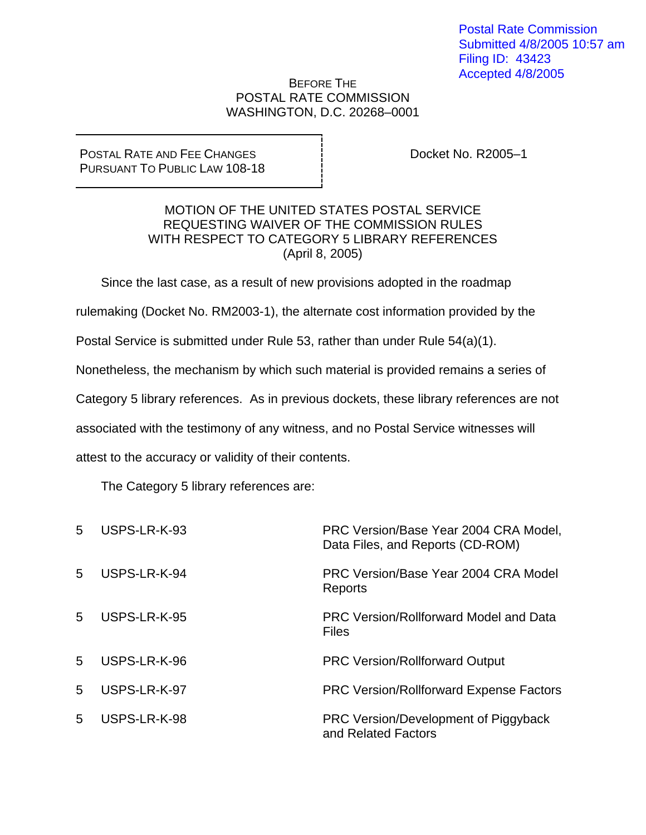## BEFORE THE POSTAL RATE COMMISSION WASHINGTON, D.C. 20268–0001

POSTAL RATE AND FEE CHANGES PURSUANT TO PUBLIC LAW 108-18 Docket No. R2005–1

## MOTION OF THE UNITED STATES POSTAL SERVICE REQUESTING WAIVER OF THE COMMISSION RULES WITH RESPECT TO CATEGORY 5 LIBRARY REFERENCES (April 8, 2005)

Since the last case, as a result of new provisions adopted in the roadmap

rulemaking (Docket No. RM2003-1), the alternate cost information provided by the

Postal Service is submitted under Rule 53, rather than under Rule 54(a)(1).

Nonetheless, the mechanism by which such material is provided remains a series of

Category 5 library references. As in previous dockets, these library references are not

associated with the testimony of any witness, and no Postal Service witnesses will

attest to the accuracy or validity of their contents.

The Category 5 library references are:

| $5^{\circ}$     | USPS-LR-K-93 | PRC Version/Base Year 2004 CRA Model,<br>Data Files, and Reports (CD-ROM) |
|-----------------|--------------|---------------------------------------------------------------------------|
| 5               | USPS-LR-K-94 | PRC Version/Base Year 2004 CRA Model<br>Reports                           |
| $5\overline{)}$ | USPS-LR-K-95 | <b>PRC Version/Rollforward Model and Data</b><br><b>Files</b>             |
| 5               | USPS-LR-K-96 | <b>PRC Version/Rollforward Output</b>                                     |
| 5               | USPS-LR-K-97 | <b>PRC Version/Rollforward Expense Factors</b>                            |
| 5               | USPS-LR-K-98 | PRC Version/Development of Piggyback<br>and Related Factors               |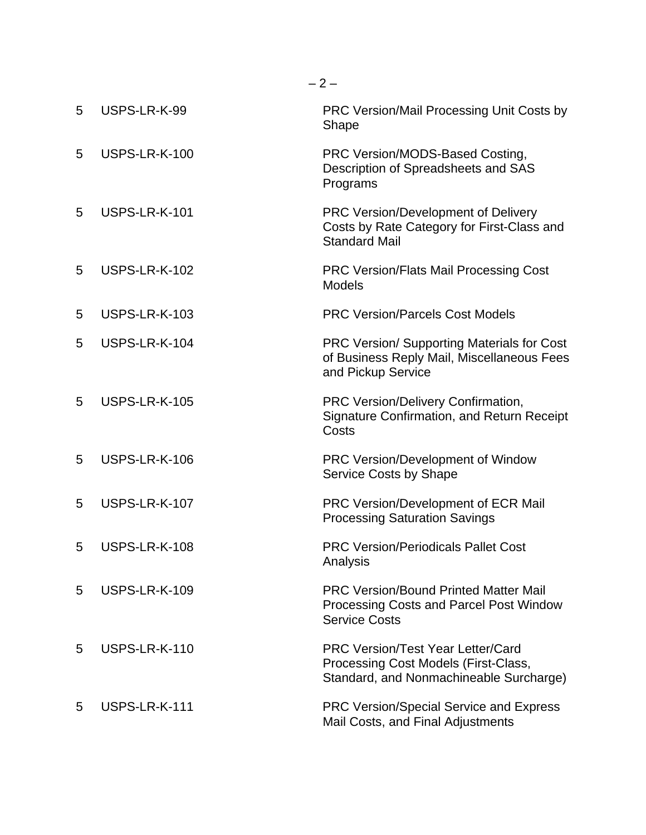| 5 | USPS-LR-K-99         | <b>PRC Version/Mail Processing Unit Costs by</b><br>Shape                                                                   |
|---|----------------------|-----------------------------------------------------------------------------------------------------------------------------|
| 5 | USPS-LR-K-100        | PRC Version/MODS-Based Costing,<br>Description of Spreadsheets and SAS<br>Programs                                          |
| 5 | USPS-LR-K-101        | PRC Version/Development of Delivery<br>Costs by Rate Category for First-Class and<br><b>Standard Mail</b>                   |
| 5 | USPS-LR-K-102        | <b>PRC Version/Flats Mail Processing Cost</b><br><b>Models</b>                                                              |
| 5 | <b>USPS-LR-K-103</b> | <b>PRC Version/Parcels Cost Models</b>                                                                                      |
| 5 | USPS-LR-K-104        | <b>PRC Version/ Supporting Materials for Cost</b><br>of Business Reply Mail, Miscellaneous Fees<br>and Pickup Service       |
| 5 | <b>USPS-LR-K-105</b> | PRC Version/Delivery Confirmation,<br>Signature Confirmation, and Return Receipt<br>Costs                                   |
| 5 | USPS-LR-K-106        | PRC Version/Development of Window<br>Service Costs by Shape                                                                 |
| 5 | USPS-LR-K-107        | PRC Version/Development of ECR Mail<br><b>Processing Saturation Savings</b>                                                 |
| 5 | USPS-LR-K-108        | <b>PRC Version/Periodicals Pallet Cost</b><br>Analysis                                                                      |
| 5 | USPS-LR-K-109        | <b>PRC Version/Bound Printed Matter Mail</b><br>Processing Costs and Parcel Post Window<br><b>Service Costs</b>             |
| 5 | USPS-LR-K-110        | <b>PRC Version/Test Year Letter/Card</b><br>Processing Cost Models (First-Class,<br>Standard, and Nonmachineable Surcharge) |
| 5 | USPS-LR-K-111        | <b>PRC Version/Special Service and Express</b><br>Mail Costs, and Final Adjustments                                         |

 $-2-$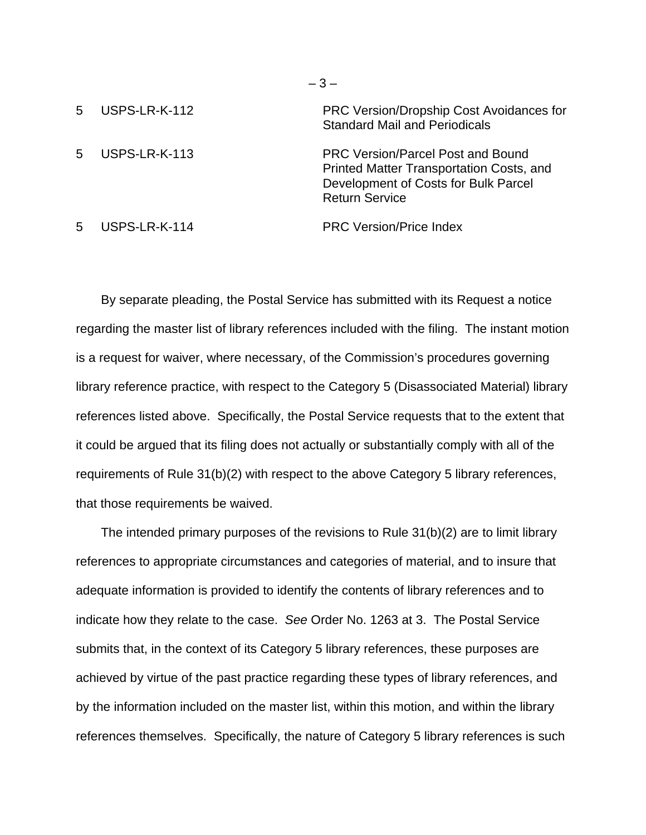| 5 | USPS-LR-K-112        | PRC Version/Dropship Cost Avoidances for<br><b>Standard Mail and Periodicals</b>                                                                      |
|---|----------------------|-------------------------------------------------------------------------------------------------------------------------------------------------------|
| 5 | <b>USPS-LR-K-113</b> | <b>PRC Version/Parcel Post and Bound</b><br>Printed Matter Transportation Costs, and<br>Development of Costs for Bulk Parcel<br><b>Return Service</b> |
| 5 | USPS-LR-K-114        | <b>PRC Version/Price Index</b>                                                                                                                        |

– 3 –

By separate pleading, the Postal Service has submitted with its Request a notice regarding the master list of library references included with the filing. The instant motion is a request for waiver, where necessary, of the Commission's procedures governing library reference practice, with respect to the Category 5 (Disassociated Material) library references listed above. Specifically, the Postal Service requests that to the extent that it could be argued that its filing does not actually or substantially comply with all of the requirements of Rule 31(b)(2) with respect to the above Category 5 library references, that those requirements be waived.

The intended primary purposes of the revisions to Rule 31(b)(2) are to limit library references to appropriate circumstances and categories of material, and to insure that adequate information is provided to identify the contents of library references and to indicate how they relate to the case. *See* Order No. 1263 at 3. The Postal Service submits that, in the context of its Category 5 library references, these purposes are achieved by virtue of the past practice regarding these types of library references, and by the information included on the master list, within this motion, and within the library references themselves. Specifically, the nature of Category 5 library references is such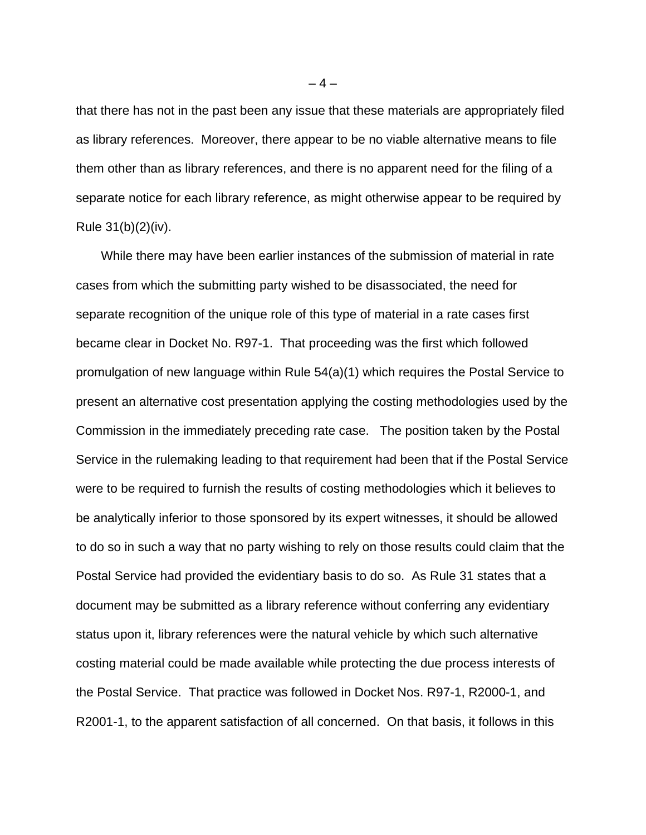that there has not in the past been any issue that these materials are appropriately filed as library references. Moreover, there appear to be no viable alternative means to file them other than as library references, and there is no apparent need for the filing of a separate notice for each library reference, as might otherwise appear to be required by Rule 31(b)(2)(iv).

While there may have been earlier instances of the submission of material in rate cases from which the submitting party wished to be disassociated, the need for separate recognition of the unique role of this type of material in a rate cases first became clear in Docket No. R97-1. That proceeding was the first which followed promulgation of new language within Rule 54(a)(1) which requires the Postal Service to present an alternative cost presentation applying the costing methodologies used by the Commission in the immediately preceding rate case. The position taken by the Postal Service in the rulemaking leading to that requirement had been that if the Postal Service were to be required to furnish the results of costing methodologies which it believes to be analytically inferior to those sponsored by its expert witnesses, it should be allowed to do so in such a way that no party wishing to rely on those results could claim that the Postal Service had provided the evidentiary basis to do so. As Rule 31 states that a document may be submitted as a library reference without conferring any evidentiary status upon it, library references were the natural vehicle by which such alternative costing material could be made available while protecting the due process interests of the Postal Service. That practice was followed in Docket Nos. R97-1, R2000-1, and R2001-1, to the apparent satisfaction of all concerned. On that basis, it follows in this

 $-4-$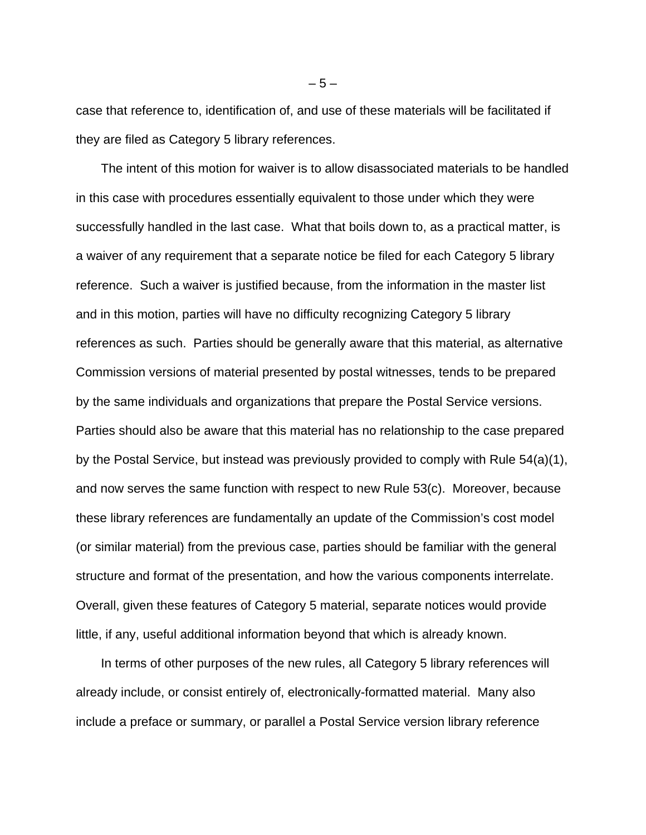case that reference to, identification of, and use of these materials will be facilitated if they are filed as Category 5 library references.

The intent of this motion for waiver is to allow disassociated materials to be handled in this case with procedures essentially equivalent to those under which they were successfully handled in the last case. What that boils down to, as a practical matter, is a waiver of any requirement that a separate notice be filed for each Category 5 library reference. Such a waiver is justified because, from the information in the master list and in this motion, parties will have no difficulty recognizing Category 5 library references as such. Parties should be generally aware that this material, as alternative Commission versions of material presented by postal witnesses, tends to be prepared by the same individuals and organizations that prepare the Postal Service versions. Parties should also be aware that this material has no relationship to the case prepared by the Postal Service, but instead was previously provided to comply with Rule 54(a)(1), and now serves the same function with respect to new Rule 53(c). Moreover, because these library references are fundamentally an update of the Commission's cost model (or similar material) from the previous case, parties should be familiar with the general structure and format of the presentation, and how the various components interrelate. Overall, given these features of Category 5 material, separate notices would provide little, if any, useful additional information beyond that which is already known.

In terms of other purposes of the new rules, all Category 5 library references will already include, or consist entirely of, electronically-formatted material. Many also include a preface or summary, or parallel a Postal Service version library reference

 $-5-$